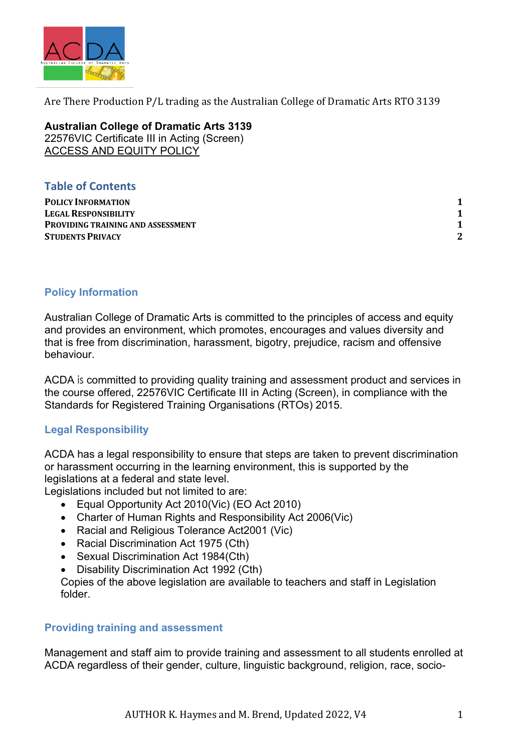

Are There Production  $P/L$  trading as the Australian College of Dramatic Arts RTO 3139

**Australian College of Dramatic Arts 3139** 22576VIC Certificate III in Acting (Screen) ACCESS AND EQUITY POLICY

# **Table of Contents**

**POLICY INFORMATION LEGAL RESPONSIBILITY PROVIDING TRAINING AND ASSESSMENT STUDENTS PRIVACY**

## **Policy Information**

Australian College of Dramatic Arts is committed to the principles of access and equity and provides an environment, which promotes, encourages and values diversity and that is free from discrimination, harassment, bigotry, prejudice, racism and offensive behaviour.

ACDA is committed to providing quality training and assessment product and services in the course offered, 22576VIC Certificate III in Acting (Screen), in compliance with the Standards for Registered Training Organisations (RTOs) 2015.

### **Legal Responsibility**

ACDA has a legal responsibility to ensure that steps are taken to prevent discrimination or harassment occurring in the learning environment, this is supported by the legislations at a federal and state level.

Legislations included but not limited to are:

- Equal Opportunity Act 2010(Vic) (EO Act 2010)
- Charter of Human Rights and Responsibility Act 2006(Vic)
- Racial and Religious Tolerance Act2001 (Vic)
- Racial Discrimination Act 1975 (Cth)
- Sexual Discrimination Act 1984(Cth)
- Disability Discrimination Act 1992 (Cth)

Copies of the above legislation are available to teachers and staff in Legislation folder.

#### **Providing training and assessment**

Management and staff aim to provide training and assessment to all students enrolled at ACDA regardless of their gender, culture, linguistic background, religion, race, socio-